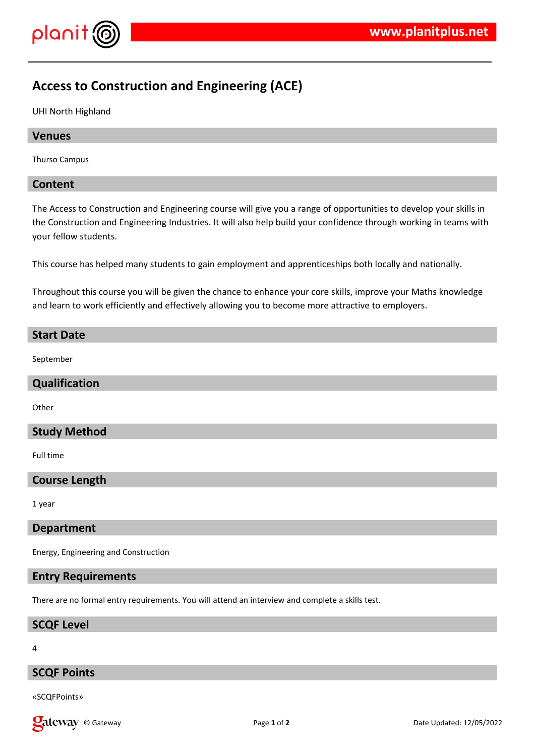

# **Access to Construction and Engineering (ACE)**

UHI North Highland

## **Venues**

Thurso Campus

## **Content**

The Access to Construction and Engineering course will give you a range of opportunities to develop your skills in the Construction and Engineering Industries. It will also help build your confidence through working in teams with your fellow students.

This course has helped many students to gain employment and apprenticeships both locally and nationally.

Throughout this course you will be given the chance to enhance your core skills, improve your Maths knowledge and learn to work efficiently and effectively allowing you to become more attractive to employers.

### **Start Date**

September

#### **Qualification**

**Other** 

## **Study Method**

Full time

## **Course Length**

1 year

#### **Department**

Energy, Engineering and Construction

## **Entry Requirements**

There are no formal entry requirements. You will attend an interview and complete a skills test.

## **SCQF Level**

4

# **SCQF Points**

«SCQFPoints»